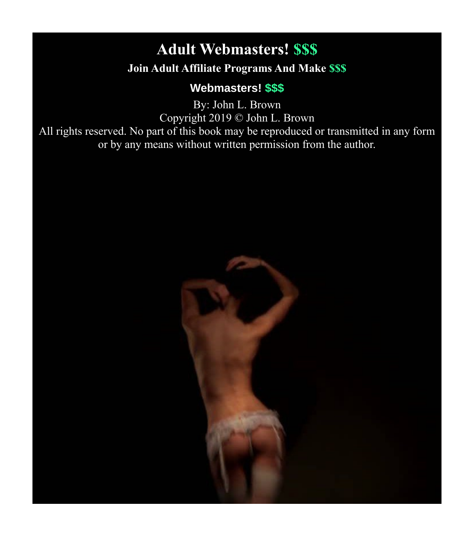# <span id="page-0-0"></span>**Adult Webmasters! \$\$\$**

#### **Join Adult Affiliate Programs And Make \$\$\$**

#### **Webmasters! \$\$\$**

By: John L. Brown Copyright 2019 © John L. Brown All rights reserved. No part of this book may be reproduced or transmitted in any form or by any means without written permission from the author.

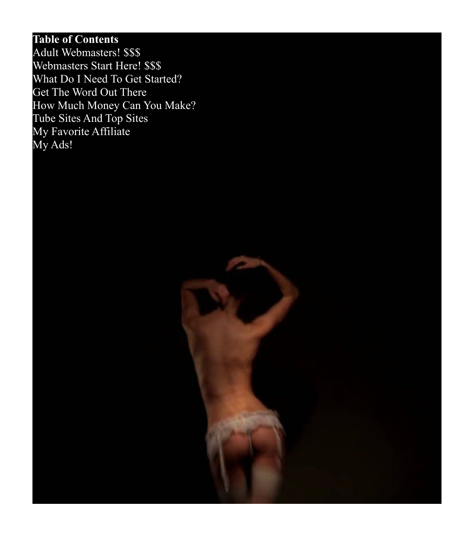### **Table of Contents**

[Adult Webmasters! \\$\\$\\$](#page-0-0) [Webmasters Start Here! \\$\\$\\$](#page-2-0) [What Do I Need To Get Started?](#page-4-0) [Get The Word Out There](#page-5-0) [How Much Money Can You Make?](#page-6-0) [Tube Sites And Top Sites](#page-7-0) [My Favorite Affiliate](#page-8-0) [My Ads!](#page-9-0)

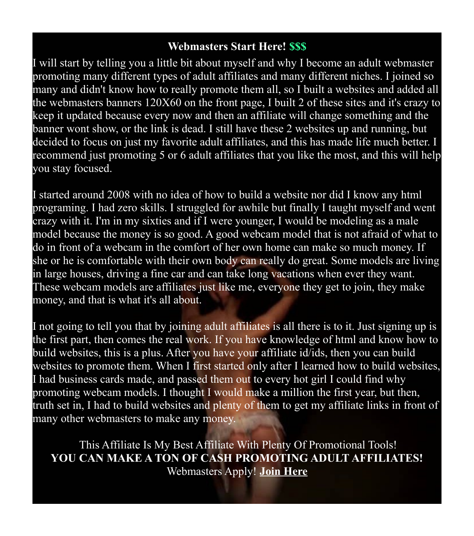#### <span id="page-2-0"></span>**Webmasters Start Here! \$\$\$**

I will start by telling you a little bit about myself and why I become an adult webmaster promoting many different types of adult affiliates and many different niches. I joined so many and didn't know how to really promote them all, so I built a websites and added all the webmasters banners 120X60 on the front page, I built 2 of these sites and it's crazy to keep it updated because every now and then an affiliate will change something and the banner wont show, or the link is dead. I still have these 2 websites up and running, but decided to focus on just my favorite adult affiliates, and this has made life much better. I recommend just promoting 5 or 6 adult affiliates that you like the most, and this will help you stay focused.

I started around 2008 with no idea of how to build a website nor did I know any html programing. I had zero skills. I struggled for awhile but finally I taught myself and went crazy with it. I'm in my sixties and if I were younger, I would be modeling as a male model because the money is so good. A good webcam model that is not afraid of what to do in front of a webcam in the comfort of her own home can make so much money. If she or he is comfortable with their own body can really do great. Some models are living in large houses, driving a fine car and can take long vacations when ever they want. These webcam models are affiliates just like me, everyone they get to join, they make money, and that is what it's all about.

I not going to tell you that by joining adult affiliates is all there is to it. Just signing up is the first part, then comes the real work. If you have knowledge of html and know how to build websites, this is a plus. After you have your affiliate id/ids, then you can build websites to promote them. When I first started only after I learned how to build websites, I had business cards made, and passed them out to every hot girl I could find why promoting webcam models. I thought I would make a million the first year, but then, truth set in, I had to build websites and plenty of them to get my affiliate links in front of many other webmasters to make any money.

 This Affiliate Is My Best Affiliate With Plenty Of Promotional Tools! **YOU CAN MAKE A TON OF CASH PROMOTING ADULT AFFILIATES!** Webmasters Apply! **[Join Here](http://www.awempire.com/?referral_rs=john4953&psprogram=wmref&pstool=1_40327)**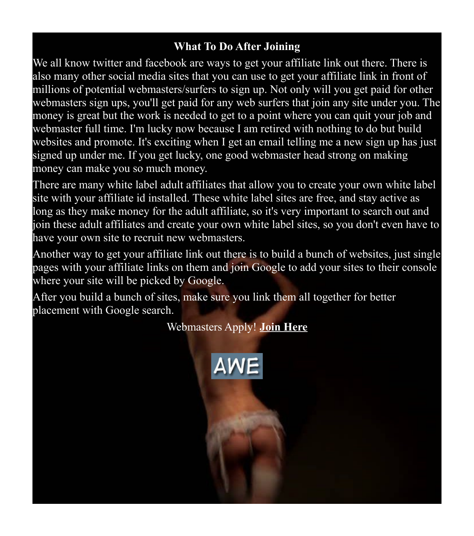#### **What To Do After Joining**

We all know twitter and facebook are ways to get your affiliate link out there. There is also many other social media sites that you can use to get your affiliate link in front of millions of potential webmasters/surfers to sign up. Not only will you get paid for other webmasters sign ups, you'll get paid for any web surfers that join any site under you. The money is great but the work is needed to get to a point where you can quit your job and webmaster full time. I'm lucky now because I am retired with nothing to do but build websites and promote. It's exciting when I get an email telling me a new sign up has just signed up under me. If you get lucky, one good webmaster head strong on making money can make you so much money.

There are many white label adult affiliates that allow you to create your own white label site with your affiliate id installed. These white label sites are free, and stay active as long as they make money for the adult affiliate, so it's very important to search out and join these adult affiliates and create your own white label sites, so you don't even have to have your own site to recruit new webmasters.

Another way to get your affiliate link out there is to build a bunch of websites, just single pages with your affiliate links on them and join Google to add your sites to their console where your site will be picked by Google.

After you build a bunch of sites, make sure you link them all together for better placement with Google search.

Webmasters Apply! **[Join Here](http://www.awempire.com/?referral_rs=john4953&psprogram=wmref&pstool=1_40327)**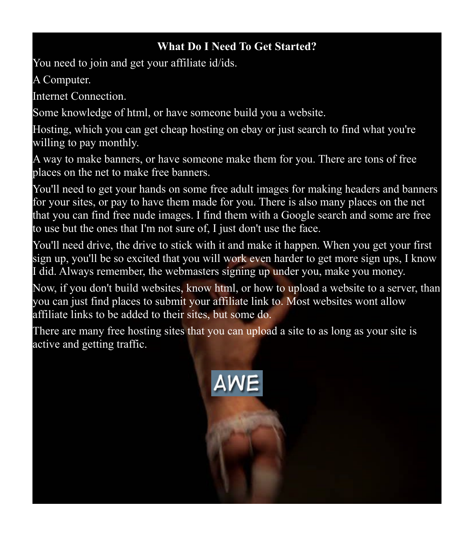#### <span id="page-4-0"></span>**What Do I Need To Get Started?**

You need to join and get your affiliate id/ids.

A Computer.

Internet Connection.

Some knowledge of html, or have someone build you a website.

Hosting, which you can get cheap hosting on ebay or just search to find what you're willing to pay monthly.

A way to make banners, or have someone make them for you. There are tons of free places on the net to make free banners.

You'll need to get your hands on some free adult images for making headers and banners for your sites, or pay to have them made for you. There is also many places on the net that you can find free nude images. I find them with a Google search and some are free to use but the ones that I'm not sure of, I just don't use the face.

You'll need drive, the drive to stick with it and make it happen. When you get your first sign up, you'll be so excited that you will work even harder to get more sign ups, I know I did. Always remember, the webmasters signing up under you, make you money.

Now, if you don't build websites, know html, or how to upload a website to a server, than you can just find places to submit your affiliate link to. Most websites wont allow affiliate links to be added to their sites, but some do.

There are many free hosting sites that you can upload a site to as long as your site is active and getting traffic.

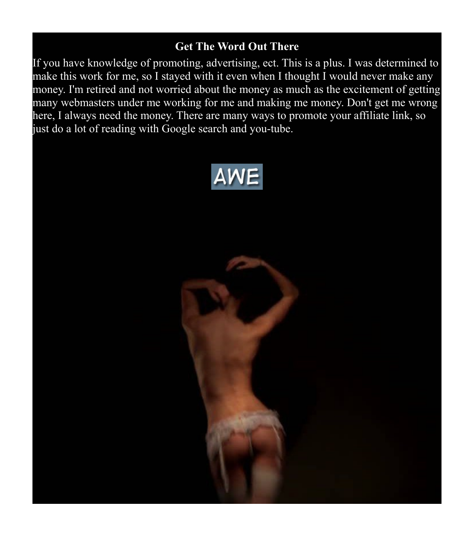#### <span id="page-5-0"></span>**Get The Word Out There**

If you have knowledge of promoting, advertising, ect. This is a plus. I was determined to make this work for me, so I stayed with it even when I thought I would never make any money. I'm retired and not worried about the money as much as the excitement of getting many webmasters under me working for me and making me money. Don't get me wrong here, I always need the money. There are many ways to promote your affiliate link, so just do a lot of reading with Google search and you-tube.



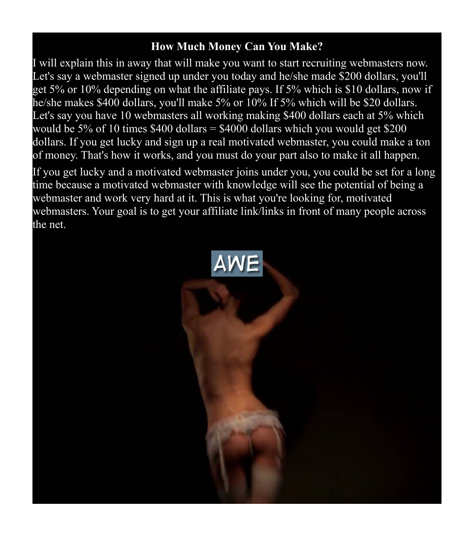#### <span id="page-6-0"></span>**How Much Money Can You Make?**

I will explain this in away that will make you want to start recruiting webmasters now. Let's say a webmaster signed up under you today and he/she made \$200 dollars, you'll get 5% or 10% depending on what the affiliate pays. If 5% which is \$10 dollars, now if he/she makes \$400 dollars, you'll make 5% or 10% If 5% which will be \$20 dollars. Let's say you have 10 webmasters all working making \$400 dollars each at 5% which would be 5% of 10 times  $$400$  dollars =  $$4000$  dollars which you would get \$200 dollars. If you get lucky and sign up a real motivated webmaster, you could make a ton of money. That's how it works, and you must do your part also to make it all happen.

If you get lucky and a motivated webmaster joins under you, you could be set for a long time because a motivated webmaster with knowledge will see the potential of being a webmaster and work very hard at it. This is what you're looking for, motivated webmasters. Your goal is to get your affiliate link/links in front of many people across the net.

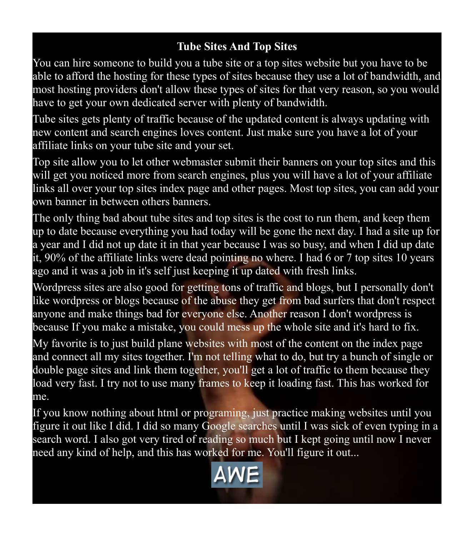## <span id="page-7-0"></span>**Tube Sites And Top Sites**

You can hire someone to build you a tube site or a top sites website but you have to be able to afford the hosting for these types of sites because they use a lot of bandwidth, and most hosting providers don't allow these types of sites for that very reason, so you would have to get your own dedicated server with plenty of bandwidth.

Tube sites gets plenty of traffic because of the updated content is always updating with new content and search engines loves content. Just make sure you have a lot of your affiliate links on your tube site and your set.

Top site allow you to let other webmaster submit their banners on your top sites and this will get you noticed more from search engines, plus you will have a lot of your affiliate links all over your top sites index page and other pages. Most top sites, you can add your own banner in between others banners.

The only thing bad about tube sites and top sites is the cost to run them, and keep them up to date because everything you had today will be gone the next day. I had a site up for a year and I did not up date it in that year because I was so busy, and when I did up date it, 90% of the affiliate links were dead pointing no where. I had 6 or 7 top sites 10 years ago and it was a job in it's self just keeping it up dated with fresh links.

Wordpress sites are also good for getting tons of traffic and blogs, but I personally don't like wordpress or blogs because of the abuse they get from bad surfers that don't respect anyone and make things bad for everyone else. Another reason I don't wordpress is because If you make a mistake, you could mess up the whole site and it's hard to fix.

My favorite is to just build plane websites with most of the content on the index page and connect all my sites together. I'm not telling what to do, but try a bunch of single or double page sites and link them together, you'll get a lot of traffic to them because they load very fast. I try not to use many frames to keep it loading fast. This has worked for me.

If you know nothing about html or programing, just practice making websites until you figure it out like I did. I did so many Google searches until I was sick of even typing in a search word. I also got very tired of reading so much but I kept going until now I never need any kind of help, and this has worked for me. You'll figure it out...

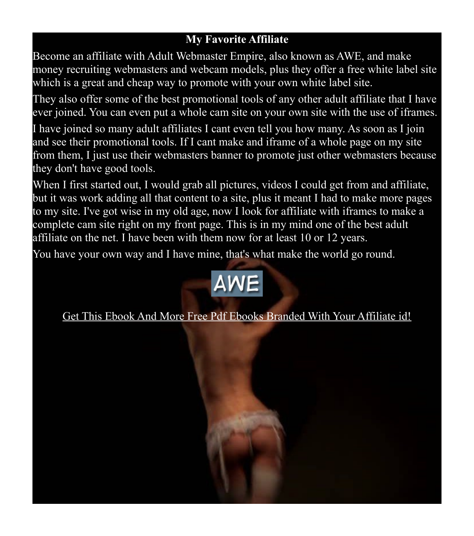### <span id="page-8-0"></span>**My Favorite Affiliate**

Become an affiliate with Adult Webmaster Empire, also known as AWE, and make money recruiting webmasters and webcam models, plus they offer a free white label site which is a great and cheap way to promote with your own white label site.

They also offer some of the best promotional tools of any other adult affiliate that I have ever joined. You can even put a whole cam site on your own site with the use of iframes.

I have joined so many adult affiliates I cant even tell you how many. As soon as I join and see their promotional tools. If I cant make and iframe of a whole page on my site from them, I just use their webmasters banner to promote just other webmasters because they don't have good tools.

When I first started out, I would grab all pictures, videos I could get from and affiliate, but it was work adding all that content to a site, plus it meant I had to make more pages to my site. I've got wise in my old age, now I look for affiliate with iframes to make a complete cam site right on my front page. This is in my mind one of the best adult affiliate on the net. I have been with them now for at least 10 or 12 years.

You have your own way and I have mine, that's what make the world go round.



[Get This Ebook And More Free Pdf Ebooks Branded With Your Affiliate id!](http://www.theviralmonsters.com/)